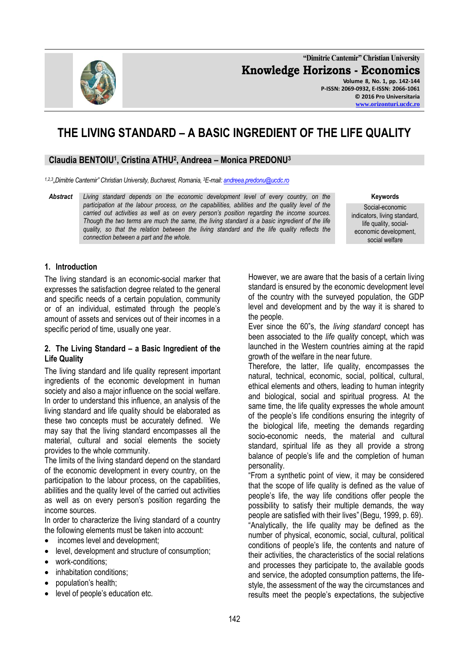

**"Dimitrie Cantemir" Christian University Knowledge Horizons - Economics Volume 8, No. 1, pp. 142-144 P-ISSN: 2069-0932, E-ISSN: 2066-1061 © 2016 Pro Universitaria [www.orizonturi.ucdc.ro](http://www.orizonturi.ucdc.ro/)**

# **THE LIVING STANDARD – A BASIC INGREDIENT OF THE LIFE QUALITY**

## **Claudia BENTOIU<sup>1</sup> , Cristina ATHU<sup>2</sup> , Andreea – Monica PREDONU<sup>3</sup>**

*1,2,3 "Dimitrie Cantemir" Christian University, Bucharest, Romania, <sup>3</sup>E-mail[: andreea.predonu@ucdc.ro](mailto:andreea.predonu@ucdc.ro)*

*Abstract Living standard depends on the economic development level of every country, on the participation at the labour process, on the capabilities, abilities and the quality level of the carried out activities as well as on every person's position regarding the income sources. Though the two terms are much the same, the living standard is a basic ingredient of the life quality, so that the relation between the living standard and the life quality reflects the connection between a part and the whole.*

**Keywords**

Social-economic indicators, living standard, life quality, socialeconomic development, social welfare

#### **1. Introduction**

The living standard is an economic-social marker that expresses the satisfaction degree related to the general and specific needs of a certain population, community or of an individual, estimated through the people's amount of assets and services out of their incomes in a specific period of time, usually one year.

#### **2. The Living Standard – a Basic Ingredient of the Life Quality**

The living standard and life quality represent important ingredients of the economic development in human society and also a major influence on the social welfare. In order to understand this influence, an analysis of the living standard and life quality should be elaborated as these two concepts must be accurately defined. We may say that the living standard encompasses all the material, cultural and social elements the society provides to the whole community.

The limits of the living standard depend on the standard of the economic development in every country, on the participation to the labour process, on the capabilities, abilities and the quality level of the carried out activities as well as on every person's position regarding the income sources.

In order to characterize the living standard of a country the following elements must be taken into account:

- incomes level and development;
- level, development and structure of consumption;
- work-conditions;
- inhabitation conditions;
- population's health;
- level of people's education etc.

However, we are aware that the basis of a certain living standard is ensured by the economic development level of the country with the surveyed population, the GDP level and development and by the way it is shared to the people.

Ever since the 60"s, the *living standard* concept has been associated to the *life quality* concept, which was launched in the Western countries aiming at the rapid growth of the welfare in the near future.

Therefore, the latter, life quality, encompasses the natural, technical, economic, social, political, cultural, ethical elements and others, leading to human integrity and biological, social and spiritual progress. At the same time, the life quality expresses the whole amount of the people's life conditions ensuring the integrity of the biological life, meeting the demands regarding socio-economic needs, the material and cultural standard, spiritual life as they all provide a strong balance of people's life and the completion of human personality.

"From a synthetic point of view, it may be considered that the scope of life quality is defined as the value of people's life, the way life conditions offer people the possibility to satisfy their multiple demands, the way people are satisfied with their lives" (Begu, 1999, p. 69). "Analytically, the life quality may be defined as the number of physical, economic, social, cultural, political conditions of people's life, the contents and nature of their activities, the characteristics of the social relations and processes they participate to, the available goods and service, the adopted consumption patterns, the lifestyle, the assessment of the way the circumstances and results meet the people's expectations, the subjective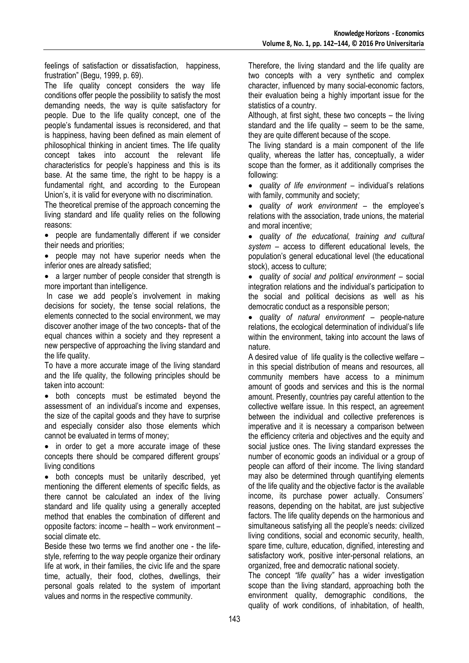feelings of satisfaction or dissatisfaction, happiness, frustration" (Begu, 1999, p. 69).

The life quality concept considers the way life conditions offer people the possibility to satisfy the most demanding needs, the way is quite satisfactory for people. Due to the life quality concept, one of the people's fundamental issues is reconsidered, and that is happiness, having been defined as main element of philosophical thinking in ancient times. The life quality concept takes into account the relevant life characteristics for people's happiness and this is its base. At the same time, the right to be happy is a fundamental right, and according to the European Union's, it is valid for everyone with no discrimination.

The theoretical premise of the approach concerning the living standard and life quality relies on the following reasons:

 people are fundamentally different if we consider their needs and priorities;

 people may not have superior needs when the inferior ones are already satisfied;

• a larger number of people consider that strength is more important than intelligence.

In case we add people's involvement in making decisions for society, the tense social relations, the elements connected to the social environment, we may discover another image of the two concepts- that of the equal chances within a society and they represent a new perspective of approaching the living standard and the life quality.

To have a more accurate image of the living standard and the life quality, the following principles should be taken into account:

 both concepts must be estimated beyond the assessment of an individual's income and expenses, the size of the capital goods and they have to surprise and especially consider also those elements which cannot be evaluated in terms of money;

 in order to get a more accurate image of these concepts there should be compared different groups' living conditions

 both concepts must be unitarily described, yet mentioning the different elements of specific fields, as there cannot be calculated an index of the living standard and life quality using a generally accepted method that enables the combination of different and opposite factors: income – health – work environment – social climate etc.

Beside these two terms we find another one - the lifestyle, referring to the way people organize their ordinary life at work, in their families, the civic life and the spare time, actually, their food, clothes, dwellings, their personal goals related to the system of important values and norms in the respective community.

Therefore, the living standard and the life quality are two concepts with a very synthetic and complex character, influenced by many social-economic factors, their evaluation being a highly important issue for the statistics of a country.

Although, at first sight, these two concepts – the living standard and the life quality – seem to be the same, they are quite different because of the scope.

The living standard is a main component of the life quality, whereas the latter has, conceptually, a wider scope than the former, as it additionally comprises the following:

 *quality of life environment* – individual's relations with family, community and society;

 *quality of work environment* – the employee's relations with the association, trade unions, the material and moral incentive;

 *quality of the educational, training and cultural system* – access to different educational levels, the population's general educational level (the educational stock), access to culture;

 *quality of social and political environment* – social integration relations and the individual's participation to the social and political decisions as well as his democratic conduct as a responsible person;

 *quality of natural environment* – people-nature relations, the ecological determination of individual's life within the environment, taking into account the laws of nature.

A desired value of life quality is the collective welfare – in this special distribution of means and resources, all community members have access to a minimum amount of goods and services and this is the normal amount. Presently, countries pay careful attention to the collective welfare issue. In this respect, an agreement between the individual and collective preferences is imperative and it is necessary a comparison between the efficiency criteria and objectives and the equity and social justice ones. The living standard expresses the number of economic goods an individual or a group of people can afford of their income. The living standard may also be determined through quantifying elements of the life quality and the objective factor is the available income, its purchase power actually. Consumers' reasons, depending on the habitat, are just subjective factors. The life quality depends on the harmonious and simultaneous satisfying all the people's needs: civilized living conditions, social and economic security, health, spare time, culture, education, dignified, interesting and satisfactory work, positive inter-personal relations, an organized, free and democratic national society.

The concept *"life quality"* has a wider investigation scope than the living standard, approaching both the environment quality, demographic conditions, the quality of work conditions, of inhabitation, of health,